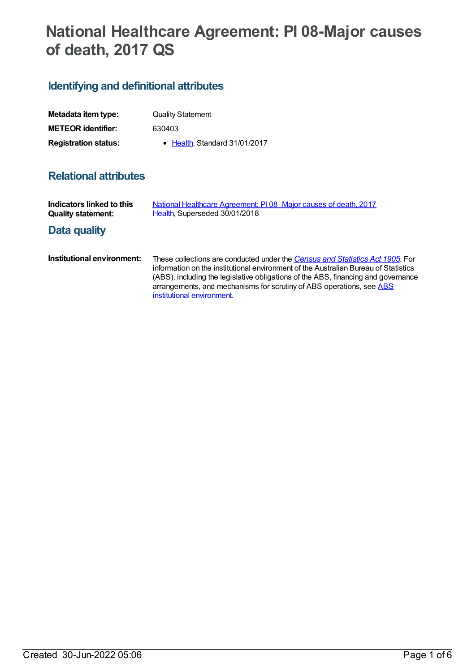# **National Healthcare Agreement: PI 08-Major causes of death, 2017 QS**

## **Identifying and definitional attributes**

| Metadata item type:         | <b>Quality Statement</b>      |
|-----------------------------|-------------------------------|
| <b>METEOR identifier:</b>   | 630403                        |
| <b>Registration status:</b> | • Health, Standard 31/01/2017 |

## **Relational attributes**

| Indicators linked to this<br><b>Quality statement:</b> | National Healthcare Agreement: PI08-Major causes of death, 2017<br>Health, Superseded 30/01/2018                                                                                                                                                                                                                                                                |
|--------------------------------------------------------|-----------------------------------------------------------------------------------------------------------------------------------------------------------------------------------------------------------------------------------------------------------------------------------------------------------------------------------------------------------------|
| Data quality                                           |                                                                                                                                                                                                                                                                                                                                                                 |
| Institutional environment:                             | These collections are conducted under the Census and Statistics Act 1905. For<br>information on the institutional environment of the Australian Bureau of Statistics<br>(ABS), including the legislative obligations of the ABS, financing and governance<br>arrangements, and mechanisms for scrutiny of ABS operations, see ABS<br>institutional environment. |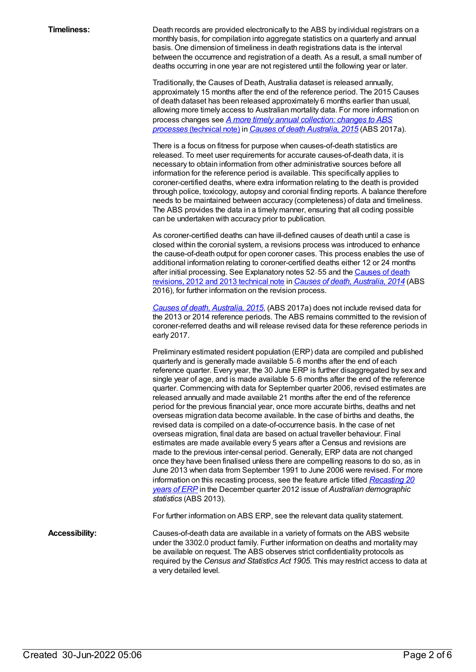**Timeliness:** Death records are provided electronically to the ABS by individual registrars on a monthly basis, for compilation into aggregate statistics on a quarterly and annual basis. One dimension of timeliness in death registrations data is the interval between the occurrence and registration of a death. As a result, a small number of deaths occurring in one year are not registered until the following year or later.

> Traditionally, the Causes of Death, Australia dataset is released annually, approximately 15 months after the end of the reference period. The 2015 Causes of death dataset has been released approximately 6 months earlier than usual, allowing more timely access to Australian mortality data. For more information on process changes see *A more timely annual [collection:](http://www.abs.gov.au/AUSSTATS/abs@.nsf/Latestproducts/3303.0Technical%20Note12015?opendocument&tabname=Notes&prodno=3303.0&issue=2015&num=&view=) changes to ABS processes* (technical note) in *Causes of death [Australia,](http://www.abs.gov.au/ausstats%255Cabs@.nsf/0/47E19CA15036B04BCA2577570014668B?Opendocument) 2015* (ABS 2017a).

There is a focus on fitness for purpose when causes-of-death statistics are released. To meet user requirements for accurate causes-of-death data, it is necessary to obtain information from other administrative sources before all information for the reference period is available. This specifically applies to coroner-certified deaths, where extra information relating to the death is provided through police, toxicology, autopsy and coronial finding reports. A balance therefore needs to be maintained between accuracy (completeness) of data and timeliness. The ABS provides the data in a timely manner, ensuring that all coding possible can be undertaken with accuracy prior to publication.

As coroner-certified deaths can have ill-defined causes of death until a case is closed within the coronial system, a revisions process was introduced to enhance the cause-of-death output for open coroner cases. This process enables the use of additional information relating to coroner-certified deaths either 12 or 24 months after initial processing. See [Explanatory](http://www.abs.gov.au/AUSSTATS/abs@.nsf/Previousproducts/3303.0Technical%20Note32014?opendocument&tabname=Notes&prodno=3303.0&issue=2014&num=&view=) notes 52-55 and the Causes of death revisions, 2012 and 2013 technical note in *Causes of death, [Australia,](http://www.abs.gov.au/AUSSTATS/abs@.nsf/allprimarymainfeatures/E639C737904FE78FCA25803B0017FF1A?opendocument) 2014* (ABS 2016), for further information on the revision process.

*Causes of death, [Australia,](http://www.abs.gov.au/ausstats%255Cabs@.nsf/0/47E19CA15036B04BCA2577570014668B?Opendocument) 2015*, (ABS 2017a) does not include revised data for the 2013 or 2014 reference periods. The ABS remains committed to the revision of coroner-referred deaths and will release revised data for these reference periods in early 2017.

Preliminary estimated resident population (ERP) data are compiled and published quarterly and is generally made available 5–6 months after the end of each reference quarter. Every year, the 30 June ERP is further disaggregated by sex and single year of age, and is made available 5–6 months after the end of the reference quarter. Commencing with data for September quarter 2006, revised estimates are released annually and made available 21 months after the end of the reference period for the previous financial year, once more accurate births, deaths and net overseas migration data become available. In the case of births and deaths, the revised data is compiled on a date-of-occurrence basis. In the case of net overseas migration, final data are based on actual traveller behaviour. Final estimates are made available every 5 years after a Census and revisions are made to the previous inter-censal period. Generally, ERP data are not changed once they have been finalised unless there are compelling reasons to do so, as in June 2013 when data from September 1991 to June 2006 were revised. For more information on this recasting process, see the feature article titled *Recasting 20 years of ERP* in the December quarter 2012 issue of *Australian [demographic](http://www.abs.gov.au/AUSSTATS/abs@.nsf/Previousproducts/3101.0Feature%20Article2Dec%202012?opendocument&tabname=Summary&prodno=3101.0&issue=Dec%202012&num=&view=) statistics* (ABS 2013).

For further information on ABS ERP, see the relevant data quality statement.

**Accessibility:** Causes-of-death data are available in a variety of formats on the ABS website under the 3302.0 product family. Further information on deaths and mortality may be available on request. The ABS observes strict confidentiality protocols as required by the *Census and Statistics Act 1905*. This may restrict access to data at a very detailed level.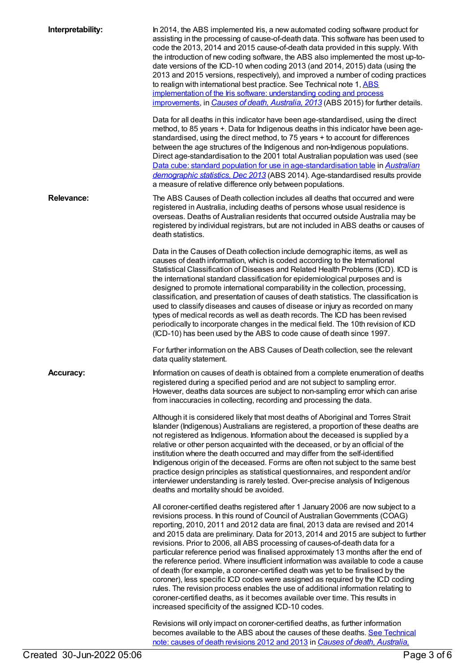| Interpretability: | In 2014, the ABS implemented Iris, a new automated coding software product for<br>assisting in the processing of cause-of-death data. This software has been used to<br>code the 2013, 2014 and 2015 cause-of-death data provided in this supply. With<br>the introduction of new coding software, the ABS also implemented the most up-to-<br>date versions of the ICD-10 when coding 2013 (and 2014, 2015) data (using the<br>2013 and 2015 versions, respectively), and improved a number of coding practices<br>to realign with international best practice. See Technical note 1, ABS<br>implementation of the Iris software: understanding coding and process<br>improvements, in Causes of death, Australia, 2013 (ABS 2015) for further details.                                                                                                                                                                                                                                           |
|-------------------|----------------------------------------------------------------------------------------------------------------------------------------------------------------------------------------------------------------------------------------------------------------------------------------------------------------------------------------------------------------------------------------------------------------------------------------------------------------------------------------------------------------------------------------------------------------------------------------------------------------------------------------------------------------------------------------------------------------------------------------------------------------------------------------------------------------------------------------------------------------------------------------------------------------------------------------------------------------------------------------------------|
|                   | Data for all deaths in this indicator have been age-standardised, using the direct<br>method, to 85 years +. Data for Indigenous deaths in this indicator have been age-<br>standardised, using the direct method, to 75 years + to account for differences<br>between the age structures of the Indigenous and non-Indigenous populations.<br>Direct age-standardisation to the 2001 total Australian population was used (see<br>Data cube: standard population for use in age-standardisation table in Australian<br>demographic statistics, Dec 2013 (ABS 2014). Age-standardised results provide<br>a measure of relative difference only between populations.                                                                                                                                                                                                                                                                                                                                |
| <b>Relevance:</b> | The ABS Causes of Death collection includes all deaths that occurred and were<br>registered in Australia, including deaths of persons whose usual residence is<br>overseas. Deaths of Australian residents that occurred outside Australia may be<br>registered by individual registrars, but are not included in ABS deaths or causes of<br>death statistics.                                                                                                                                                                                                                                                                                                                                                                                                                                                                                                                                                                                                                                     |
|                   | Data in the Causes of Death collection include demographic items, as well as<br>causes of death information, which is coded according to the International<br>Statistical Classification of Diseases and Related Health Problems (ICD). ICD is<br>the international standard classification for epidemiological purposes and is<br>designed to promote international comparability in the collection, processing,<br>classification, and presentation of causes of death statistics. The classification is<br>used to classify diseases and causes of disease or injury as recorded on many<br>types of medical records as well as death records. The ICD has been revised<br>periodically to incorporate changes in the medical field. The 10th revision of ICD<br>(ICD-10) has been used by the ABS to code cause of death since 1997.                                                                                                                                                           |
|                   | For further information on the ABS Causes of Death collection, see the relevant<br>data quality statement.                                                                                                                                                                                                                                                                                                                                                                                                                                                                                                                                                                                                                                                                                                                                                                                                                                                                                         |
| <b>Accuracy:</b>  | Information on causes of death is obtained from a complete enumeration of deaths<br>registered during a specified period and are not subject to sampling error.<br>However, deaths data sources are subject to non-sampling error which can arise<br>from inaccuracies in collecting, recording and processing the data.                                                                                                                                                                                                                                                                                                                                                                                                                                                                                                                                                                                                                                                                           |
|                   | Although it is considered likely that most deaths of Aboriginal and Torres Strait<br>Islander (Indigenous) Australians are registered, a proportion of these deaths are<br>not registered as Indigenous. Information about the deceased is supplied by a<br>relative or other person acquainted with the deceased, or by an official of the<br>institution where the death occurred and may differ from the self-identified<br>Indigenous origin of the deceased. Forms are often not subject to the same best<br>practice design principles as statistical questionnaires, and respondent and/or<br>interviewer understanding is rarely tested. Over-precise analysis of Indigenous<br>deaths and mortality should be avoided.                                                                                                                                                                                                                                                                    |
|                   | All coroner-certified deaths registered after 1 January 2006 are now subject to a<br>revisions process. In this round of Council of Australian Governments (COAG)<br>reporting, 2010, 2011 and 2012 data are final, 2013 data are revised and 2014<br>and 2015 data are preliminary. Data for 2013, 2014 and 2015 are subject to further<br>revisions. Prior to 2006, all ABS processing of causes-of-death data for a<br>particular reference period was finalised approximately 13 months after the end of<br>the reference period. Where insufficient information was available to code a cause<br>of death (for example, a coroner-certified death was yet to be finalised by the<br>coroner), less specific ICD codes were assigned as required by the ICD coding<br>rules. The revision process enables the use of additional information relating to<br>coroner-certified deaths, as it becomes available over time. This results in<br>increased specificity of the assigned ICD-10 codes. |
|                   | Revisions will only impact on coroner-certified deaths, as further information<br>becomes available to the ABS about the causes of these deaths. See Technical<br>note: causes of death revisions 2012 and 2013 in Causes of death, Australia,                                                                                                                                                                                                                                                                                                                                                                                                                                                                                                                                                                                                                                                                                                                                                     |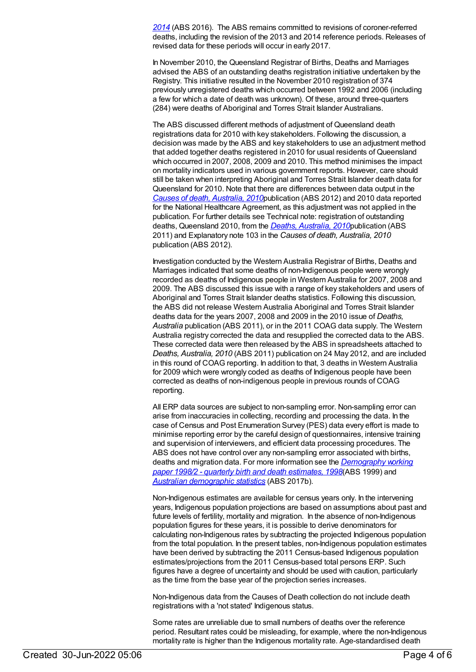*2014* (ABS 2016). The ABS remains committed to revisions of coroner-referred deaths, including the revision of the 2013 and 2014 reference periods. Releases of revised data for these periods will occur in early 2017.

In November 2010, the Queensland Registrar of Births, Deaths and Marriages advised the ABS of an outstanding deaths registration initiative undertaken by the Registry. This initiative resulted in the November 2010 registration of 374 previously unregistered deaths which occurred between 1992 and 2006 (including a few for which a date of death was unknown). Of these, around three-quarters (284) were deaths of Aboriginal and Torres Strait Islander Australians.

The ABS discussed different methods of adjustment of Queensland death registrations data for 2010 with key stakeholders. Following the discussion, a decision was made by the ABS and key stakeholders to use an adjustment method that added together deaths registered in 2010 for usual residents of Queensland which occurred in 2007, 2008, 2009 and 2010. This method minimises the impact on mortality indicators used in various government reports. However, care should still be taken when interpreting Aboriginal and Torres Strait Islander death data for Queensland for 2010. Note that there are differences between data output in the *Causes of death, [Australia,](http://www.abs.gov.au/AUSSTATS/abs@.nsf/Lookup/3303.0Main+Features12010?OpenDocument) 2010*publication (ABS 2012) and 2010 data reported for the National Healthcare Agreement, as this adjustment was not applied in the publication. For further details see Technical note: registration of outstanding deaths, Queensland 2010, from the *Deaths, [Australia,](http://www.abs.gov.au/AUSSTATS/abs@.nsf/allprimarymainfeatures/8CE24F3B3F710F8FCA257AAF0013D433?opendocument) 2010*publication (ABS 2011) and Explanatory note 103 in the *Causes of death, Australia, 2010* publication (ABS 2012).

Investigation conducted by the Western Australia Registrar of Births, Deaths and Marriages indicated that some deaths of non-Indigenous people were wrongly recorded as deaths of Indigenous people in Western Australia for 2007, 2008 and 2009. The ABS discussed this issue with a range of key stakeholders and users of Aboriginal and Torres Strait Islander deaths statistics. Following this discussion, the ABS did not release Western Australia Aboriginal and Torres Strait Islander deaths data for the years 2007, 2008 and 2009 in the 2010 issue of *Deaths, Australia* publication (ABS 2011), or in the 2011 COAG data supply. The Western Australia registry corrected the data and resupplied the corrected data to the ABS. These corrected data were then released by the ABS in spreadsheets attached to *Deaths, Australia, 2010* (ABS 2011) publication on 24 May 2012, and are included in this round of COAG reporting. In addition to that, 3 deaths in Western Australia for 2009 which were wrongly coded as deaths of Indigenous people have been corrected as deaths of non-indigenous people in previous rounds of COAG reporting.

All ERP data sources are subject to non-sampling error. Non-sampling error can arise from inaccuracies in collecting, recording and processing the data. In the case of Census and Post Enumeration Survey (PES) data every effort is made to minimise reporting error by the careful design of questionnaires, intensive training and supervision of interviewers, and efficient data processing procedures. The ABS does not have control over any non-sampling error associated with births, deaths and migration data. For more information see the *[Demography](http://www.abs.gov.au/AUSSTATS/abs@.nsf/ProductsbyCatalogue/B5BE54544A5DAFEFCA257061001F4540?OpenDocument) working paper 1998/2 - quarterly birth and death estimates, 1998*(ABS 1999) and *Australian [demographic](http://www.abs.gov.au/AUSSTATS/abs@.nsf/second+level+view?ReadForm&prodno=3101.0&viewtitle=Australian%20Demographic%20Statistics~Sep%202016~Latest~23/03/2017&&tabname=Past%20Future%20Issues&prodno=3101.0&issue=Sep%202016&num=&view=&) statistics* (ABS 2017b).

Non-Indigenous estimates are available for census years only. In the intervening years, Indigenous population projections are based on assumptions about past and future levels of fertility, mortality and migration. In the absence of non-Indigenous population figures for these years, it is possible to derive denominators for calculating non-Indigenous rates by subtracting the projected Indigenous population from the total population. In the present tables, non-Indigenous population estimates have been derived by subtracting the 2011 Census-based Indigenous population estimates/projections from the 2011 Census-based total persons ERP. Such figures have a degree of uncertainty and should be used with caution, particularly as the time from the base year of the projection series increases.

Non-Indigenous data from the Causes of Death collection do not include death registrations with a 'not stated' Indigenous status.

Some rates are unreliable due to small numbers of deaths over the reference period. Resultant rates could be misleading, for example, where the non-Indigenous mortality rate is higher than the Indigenous mortality rate. Age-standardised death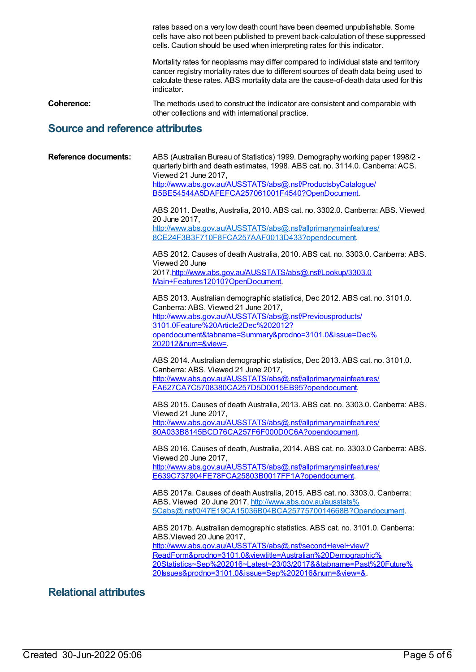rates based on a very low death count have been deemed unpublishable. Some cells have also not been published to prevent back-calculation of these suppressed cells. Caution should be used when interpreting rates for this indicator.

Mortality rates for neoplasms may differ compared to individual state and territory cancer registry mortality rates due to different sources of death data being used to calculate these rates. ABS mortality data are the cause-of-death data used for this indicator.

**Coherence:** The methods used to construct the indicator are consistent and comparable with other collections and with international practice.

#### **Source and reference attributes**

| <b>Reference documents:</b> | ABS (Australian Bureau of Statistics) 1999. Demography working paper 1998/2 -<br>quarterly birth and death estimates, 1998. ABS cat. no. 3114.0. Canberra: ACS.<br>Viewed 21 June 2017,<br>http://www.abs.gov.au/AUSSTATS/abs@.nsf/ProductsbyCatalogue/<br>B5BE54544A5DAFEFCA257061001F4540?OpenDocument. |
|-----------------------------|-----------------------------------------------------------------------------------------------------------------------------------------------------------------------------------------------------------------------------------------------------------------------------------------------------------|
|                             | ABS 2011. Deaths, Australia, 2010. ABS cat. no. 3302.0. Canberra: ABS. Viewed<br>20 June 2017,<br>http://www.abs.gov.au/AUSSTATS/abs@.nsf/allprimarymainfeatures/                                                                                                                                         |
|                             | 8CE24F3B3F710F8FCA257AAF0013D433?opendocument.                                                                                                                                                                                                                                                            |
|                             | ABS 2012. Causes of death Australia, 2010. ABS cat. no. 3303.0. Canberra: ABS.<br>Viewed 20 June                                                                                                                                                                                                          |
|                             | 2017, http://www.abs.gov.au/AUSSTATS/abs@.nsf/Lookup/3303.0                                                                                                                                                                                                                                               |
|                             | Main+Features12010?OpenDocument.                                                                                                                                                                                                                                                                          |
|                             | ABS 2013. Australian demographic statistics, Dec 2012. ABS cat. no. 3101.0.                                                                                                                                                                                                                               |
|                             | Canberra: ABS. Viewed 21 June 2017,<br>http://www.abs.gov.au/AUSSTATS/abs@.nsf/Previousproducts/                                                                                                                                                                                                          |
|                             | 3101.0Feature%20Article2Dec%202012?                                                                                                                                                                                                                                                                       |
|                             | opendocument&tabname=Summary&prodno=3101.0&issue=Dec%<br>202012#=&view=.                                                                                                                                                                                                                                  |
|                             |                                                                                                                                                                                                                                                                                                           |
|                             | ABS 2014. Australian demographic statistics, Dec 2013. ABS cat. no. 3101.0.<br>Canberra: ABS. Viewed 21 June 2017,                                                                                                                                                                                        |
|                             | http://www.abs.gov.au/AUSSTATS/abs@.nsf/allprimarymainfeatures/                                                                                                                                                                                                                                           |
|                             | FA627CA7C5708380CA257D5D0015EB95?opendocument.                                                                                                                                                                                                                                                            |
|                             | ABS 2015. Causes of death Australia, 2013. ABS cat. no. 3303.0. Canberra: ABS.<br>Viewed 21 June 2017,                                                                                                                                                                                                    |
|                             | http://www.abs.gov.au/AUSSTATS/abs@.nsf/allprimarymainfeatures/                                                                                                                                                                                                                                           |
|                             | 80A033B8145BCD76CA257F6F000D0C6A?opendocument.                                                                                                                                                                                                                                                            |
|                             | ABS 2016. Causes of death, Australia, 2014. ABS cat. no. 3303.0 Canberra: ABS.<br>Viewed 20 June 2017,                                                                                                                                                                                                    |
|                             | http://www.abs.gov.au/AUSSTATS/abs@.nsf/allprimarymainfeatures/                                                                                                                                                                                                                                           |
|                             | E639C737904FE78FCA25803B0017FF1A?opendocument.                                                                                                                                                                                                                                                            |
|                             | ABS 2017a. Causes of death Australia, 2015. ABS cat. no. 3303.0. Canberra:                                                                                                                                                                                                                                |
|                             | ABS. Viewed 20 June 2017, http://www.abs.gov.au/ausstats%<br>5Cabs@.nsf/0/47E19CA15036B04BCA2577570014668B?Opendocument.                                                                                                                                                                                  |
|                             |                                                                                                                                                                                                                                                                                                           |
|                             | ABS 2017b. Australian demographic statistics. ABS cat. no. 3101.0. Canberra:<br>ABS.Viewed 20 June 2017,                                                                                                                                                                                                  |
|                             | http://www.abs.gov.au/AUSSTATS/abs@.nsf/second+level+view?                                                                                                                                                                                                                                                |
|                             | ReadForm&prodno=3101.0&viewtitle=Australian%20Demographic%                                                                                                                                                                                                                                                |
|                             | 20Statistics~Sep%202016~Latest~23/03/2017&&tabname=Past%20Future%<br>20Issues&prodno=3101.0&issue=Sep%202016#=&view=&.                                                                                                                                                                                    |
|                             |                                                                                                                                                                                                                                                                                                           |

### **Relational attributes**